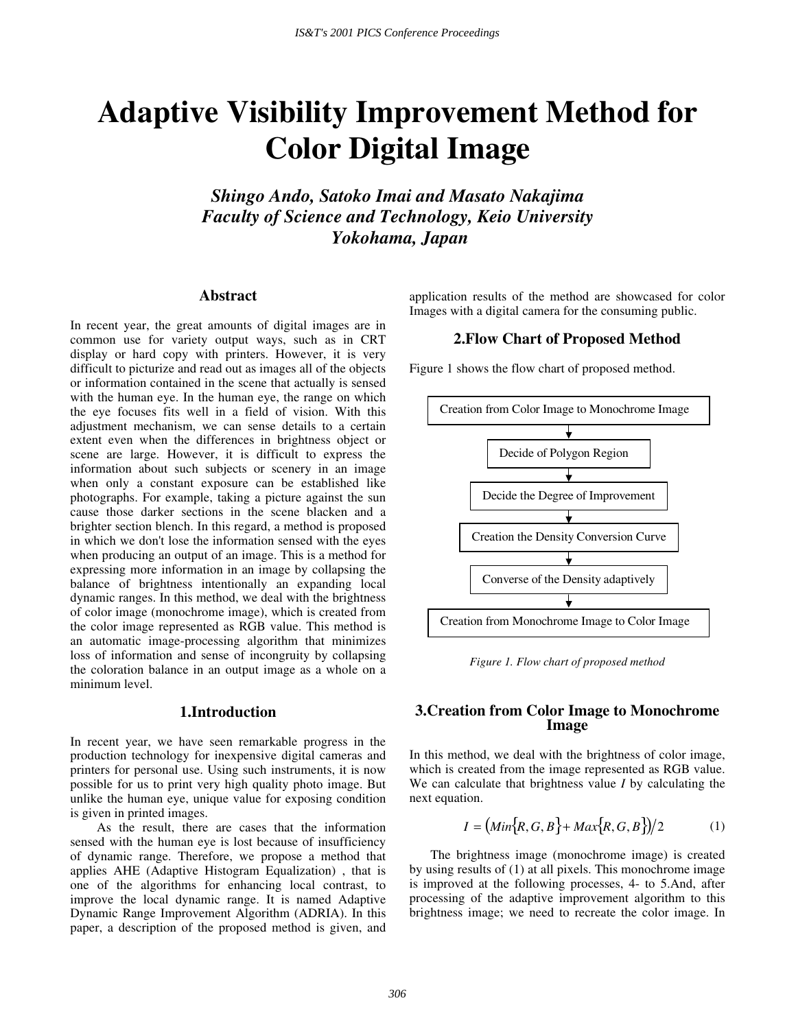# **Adaptive Visibility Improvement Method for Color Digital Image**

*Shingo Ando, Satoko Imai and Masato Nakajima Faculty of Science and Technology, Keio University Yokohama, Japan* 

#### **Abstract**

In recent year, the great amounts of digital images are in common use for variety output ways, such as in CRT display or hard copy with printers. However, it is very difficult to picturize and read out as images all of the objects or information contained in the scene that actually is sensed with the human eye. In the human eye, the range on which the eye focuses fits well in a field of vision. With this adjustment mechanism, we can sense details to a certain extent even when the differences in brightness object or scene are large. However, it is difficult to express the information about such subjects or scenery in an image when only a constant exposure can be established like photographs. For example, taking a picture against the sun cause those darker sections in the scene blacken and a brighter section blench. In this regard, a method is proposed in which we don't lose the information sensed with the eyes when producing an output of an image. This is a method for expressing more information in an image by collapsing the balance of brightness intentionally an expanding local dynamic ranges. In this method, we deal with the brightness of color image (monochrome image), which is created from the color image represented as RGB value. This method is an automatic image-processing algorithm that minimizes loss of information and sense of incongruity by collapsing the coloration balance in an output image as a whole on a minimum level.

#### **1.Introduction**

In recent year, we have seen remarkable progress in the production technology for inexpensive digital cameras and printers for personal use. Using such instruments, it is now possible for us to print very high quality photo image. But unlike the human eye, unique value for exposing condition is given in printed images.

 As the result, there are cases that the information sensed with the human eye is lost because of insufficiency of dynamic range. Therefore, we propose a method that applies AHE (Adaptive Histogram Equalization) , that is one of the algorithms for enhancing local contrast, to improve the local dynamic range. It is named Adaptive Dynamic Range Improvement Algorithm (ADRIA). In this paper, a description of the proposed method is given, and

application results of the method are showcased for color Images with a digital camera for the consuming public.

#### **2.Flow Chart of Proposed Method**

Figure 1 shows the flow chart of proposed method.



*Figure 1. Flow chart of proposed method* 

## **3.Creation from Color Image to Monochrome Image**

In this method, we deal with the brightness of color image, which is created from the image represented as RGB value. We can calculate that brightness value *I* by calculating the next equation.

$$
I = (Min\{R, G, B\} + Max\{R, G, B\})/2
$$
 (1)

 The brightness image (monochrome image) is created by using results of (1) at all pixels. This monochrome image is improved at the following processes, 4- to 5.And, after processing of the adaptive improvement algorithm to this brightness image; we need to recreate the color image. In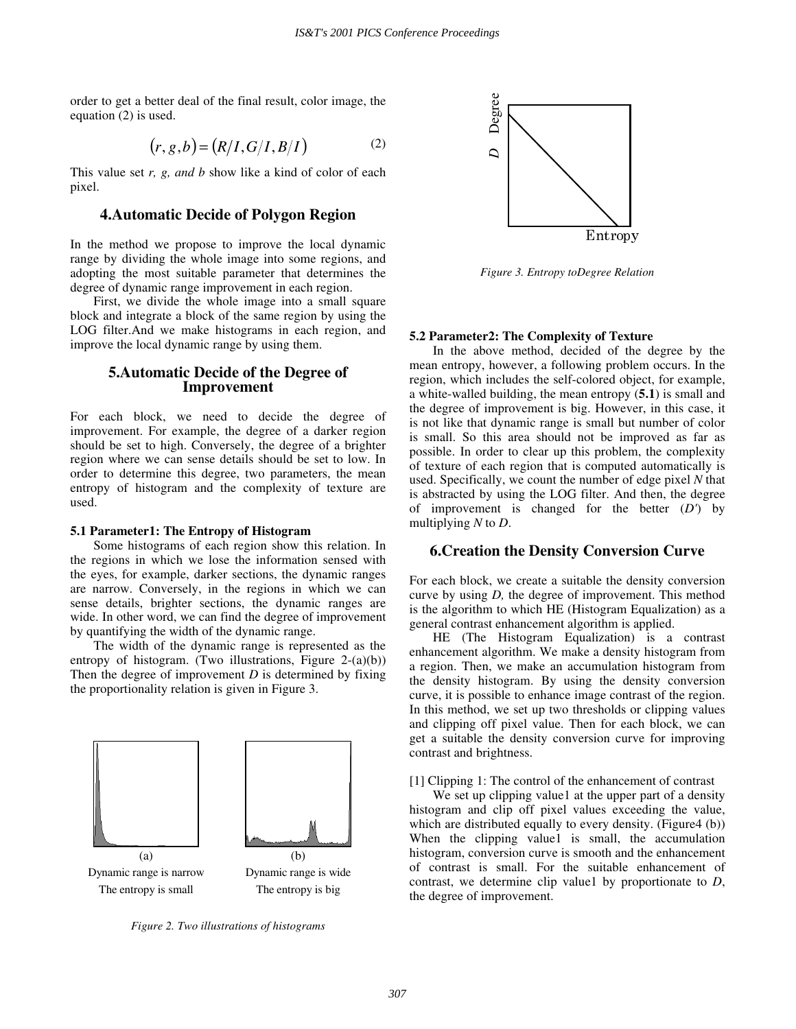order to get a better deal of the final result, color image, the equation (2) is used.

$$
(r, g, b) = (R/I, G/I, B/I)
$$
 (2)

This value set *r, g, and b* show like a kind of color of each pixel.

## **4.Automatic Decide of Polygon Region**

In the method we propose to improve the local dynamic range by dividing the whole image into some regions, and adopting the most suitable parameter that determines the degree of dynamic range improvement in each region.

First, we divide the whole image into a small square block and integrate a block of the same region by using the LOG filter.And we make histograms in each region, and improve the local dynamic range by using them.

### **5.Automatic Decide of the Degree of Improvement**

For each block, we need to decide the degree of improvement. For example, the degree of a darker region should be set to high. Conversely, the degree of a brighter region where we can sense details should be set to low. In order to determine this degree, two parameters, the mean entropy of histogram and the complexity of texture are used.

#### **5.1 Parameter1: The Entropy of Histogram**

Some histograms of each region show this relation. In the regions in which we lose the information sensed with the eyes, for example, darker sections, the dynamic ranges are narrow. Conversely, in the regions in which we can sense details, brighter sections, the dynamic ranges are wide. In other word, we can find the degree of improvement by quantifying the width of the dynamic range.

The width of the dynamic range is represented as the entropy of histogram. (Two illustrations, Figure 2-(a)(b)) Then the degree of improvement *D* is determined by fixing the proportionality relation is given in Figure 3.



*Figure 2. Two illustrations of histograms* 



*Figure 3. Entropy toDegree Relation* 

#### **5.2 Parameter2: The Complexity of Texture**

In the above method, decided of the degree by the mean entropy, however, a following problem occurs. In the region, which includes the self-colored object, for example, a white-walled building, the mean entropy (**5.1**) is small and the degree of improvement is big. However, in this case, it is not like that dynamic range is small but number of color is small. So this area should not be improved as far as possible. In order to clear up this problem, the complexity of texture of each region that is computed automatically is used. Specifically, we count the number of edge pixel *N* that is abstracted by using the LOG filter. And then, the degree of improvement is changed for the better (*D'*) by multiplying *N* to *D*.

### **6.Creation the Density Conversion Curve**

For each block, we create a suitable the density conversion curve by using *D,* the degree of improvement. This method is the algorithm to which HE (Histogram Equalization) as a general contrast enhancement algorithm is applied.

HE (The Histogram Equalization) is a contrast enhancement algorithm. We make a density histogram from a region. Then, we make an accumulation histogram from the density histogram. By using the density conversion curve, it is possible to enhance image contrast of the region. In this method, we set up two thresholds or clipping values and clipping off pixel value. Then for each block, we can get a suitable the density conversion curve for improving contrast and brightness.

[1] Clipping 1: The control of the enhancement of contrast

We set up clipping value1 at the upper part of a density histogram and clip off pixel values exceeding the value, which are distributed equally to every density. (Figure4 (b)) When the clipping valuel is small, the accumulation histogram, conversion curve is smooth and the enhancement of contrast is small. For the suitable enhancement of contrast, we determine clip value1 by proportionate to *D*, the degree of improvement.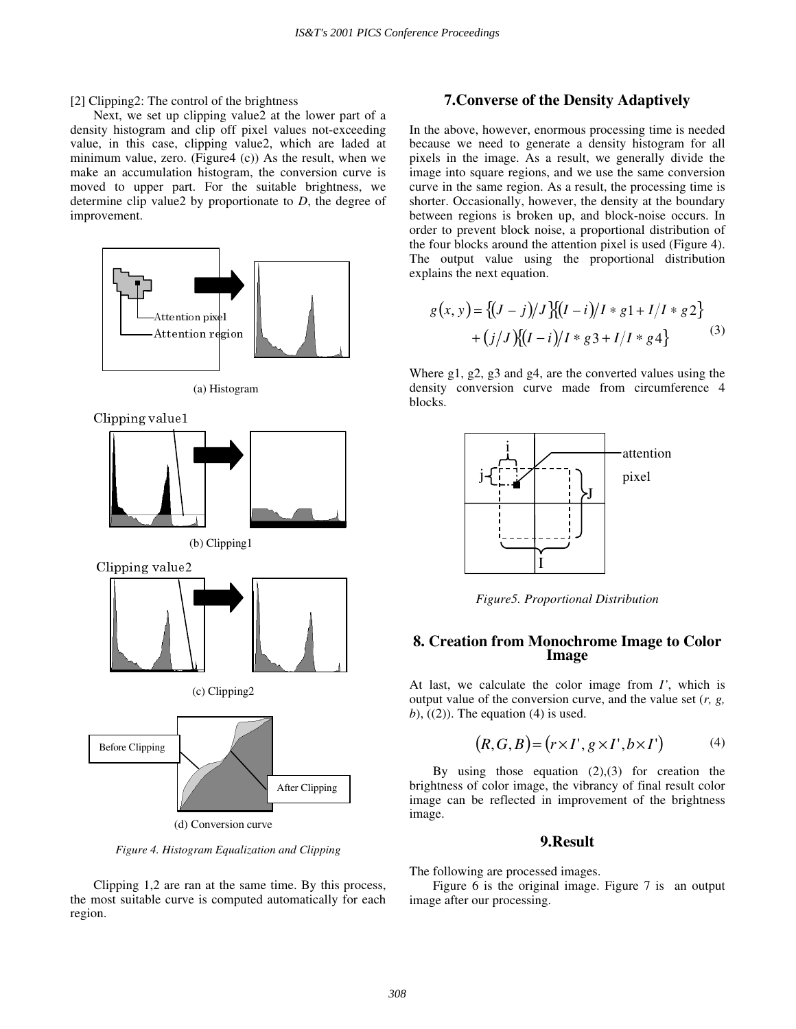[2] Clipping2: The control of the brightness

Next, we set up clipping value2 at the lower part of a density histogram and clip off pixel values not-exceeding value, in this case, clipping value2, which are laded at minimum value, zero. (Figure4 (c)) As the result, when we make an accumulation histogram, the conversion curve is moved to upper part. For the suitable brightness, we determine clip value2 by proportionate to *D*, the degree of improvement.



*Figure 4. Histogram Equalization and Clipping*

Clipping 1,2 are ran at the same time. By this process, the most suitable curve is computed automatically for each region.

## **7.Converse of the Density Adaptively**

In the above, however, enormous processing time is needed because we need to generate a density histogram for all pixels in the image. As a result, we generally divide the image into square regions, and we use the same conversion curve in the same region. As a result, the processing time is shorter. Occasionally, however, the density at the boundary between regions is broken up, and block-noise occurs. In order to prevent block noise, a proportional distribution of the four blocks around the attention pixel is used (Figure 4). The output value using the proportional distribution explains the next equation.

$$
g(x, y) = \{(J - j)/J\}[(I - i)/I * g1 + I/I * g2]
$$
  
+  $(j/J)\{ (I - i)/I * g3 + I/I * g4 \}$  (3)

Where g1, g2, g3 and g4, are the converted values using the density conversion curve made from circumference 4 blocks.



*Figure5. Proportional Distribution* 

## **8. Creation from Monochrome Image to Color Image**

At last, we calculate the color image from *I'*, which is output value of the conversion curve, and the value set (*r, g,*   $(b)$ ,  $((2))$ . The equation  $(4)$  is used.

$$
(R, G, B) = (r \times I', g \times I', b \times I') \tag{4}
$$

By using those equation  $(2),(3)$  for creation the brightness of color image, the vibrancy of final result color image can be reflected in improvement of the brightness image.

#### **9.Result**

The following are processed images.

Figure 6 is the original image. Figure 7 is an output image after our processing.